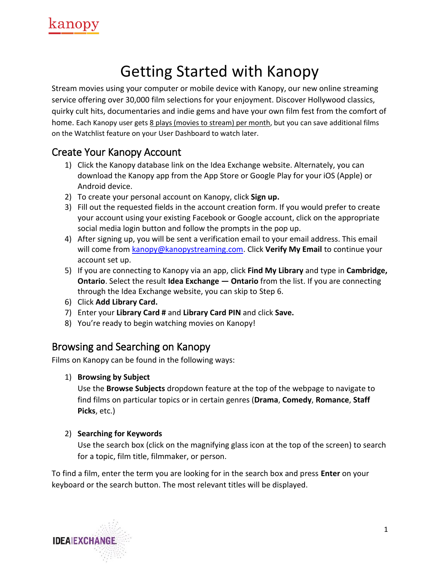

# Getting Started with Kanopy

Stream movies using your computer or mobile device with Kanopy, our new online streaming service offering over 30,000 film selections for your enjoyment. Discover Hollywood classics, quirky cult hits, documentaries and indie gems and have your own film fest from the comfort of home. Each Kanopy user gets 8 plays (movies to stream) per month, but you can save additional films on the Watchlist feature on your User Dashboard to watch later.

### Create Your Kanopy Account

- 1) Click the Kanopy database link on the Idea Exchange website. Alternately, you can download the Kanopy app from the App Store or Google Play for your iOS (Apple) or Android device.
- 2) To create your personal account on Kanopy, click **Sign up.**
- 3) Fill out the requested fields in the account creation form. If you would prefer to create your account using your existing Facebook or Google account, click on the appropriate social media login button and follow the prompts in the pop up.
- 4) After signing up, you will be sent a verification email to your email address. This email will come from **kanopy@kanopystreaming.com.** Click Verify My Email to continue your account set up.
- 5) If you are connecting to Kanopy via an app, click **Find My Library** and type in **Cambridge, Ontario**. Select the result **Idea Exchange — Ontario** from the list. If you are connecting through the Idea Exchange website, you can skip to Step 6.
- 6) Click **Add Library Card.**
- 7) Enter your **Library Card #** and **Library Card PIN** and click **Save.**
- 8) You're ready to begin watching movies on Kanopy!

### Browsing and Searching on Kanopy

Films on Kanopy can be found in the following ways:

#### 1) **Browsing by Subject**

Use the **Browse Subjects** dropdown feature at the top of the webpage to navigate to find films on particular topics or in certain genres (**Drama**, **Comedy**, **Romance**, **Staff Picks**, etc.)

#### 2) **Searching for Keywords**

Use the search box (click on the magnifying glass icon at the top of the screen) to search for a topic, film title, filmmaker, or person.

To find a film, enter the term you are looking for in the search box and press **Enter** on your keyboard or the search button. The most relevant titles will be displayed.

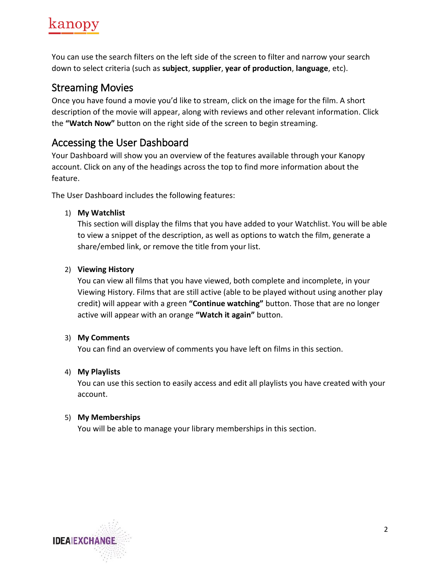

You can use the search filters on the left side of the screen to filter and narrow your search down to select criteria (such as **subject**, **supplier**, **year of production**, **language**, etc).

### Streaming Movies

Once you have found a movie you'd like to stream, click on the image for the film. A short description of the movie will appear, along with reviews and other relevant information. Click the **"Watch Now"** button on the right side of the screen to begin streaming.

### Accessing the User Dashboard

Your Dashboard will show you an overview of the features available through your Kanopy account. Click on any of the headings across the top to find more information about the feature.

The User Dashboard includes the following features:

#### 1) **My Watchlist**

This section will display the films that you have added to your Watchlist. You will be able to view a snippet of the description, as well as options to watch the film, generate a share/embed link, or remove the title from your list.

#### 2) **Viewing History**

You can view all films that you have viewed, both complete and incomplete, in your Viewing History. Films that are still active (able to be played without using another play credit) will appear with a green **"Continue watching"** button. Those that are no longer active will appear with an orange **"Watch it again"** button.

#### 3) **My Comments**

You can find an overview of comments you have left on films in this section.

#### 4) **My Playlists**

You can use this section to easily access and edit all playlists you have created with your account.

#### 5) **My Memberships**

You will be able to manage your library memberships in this section.